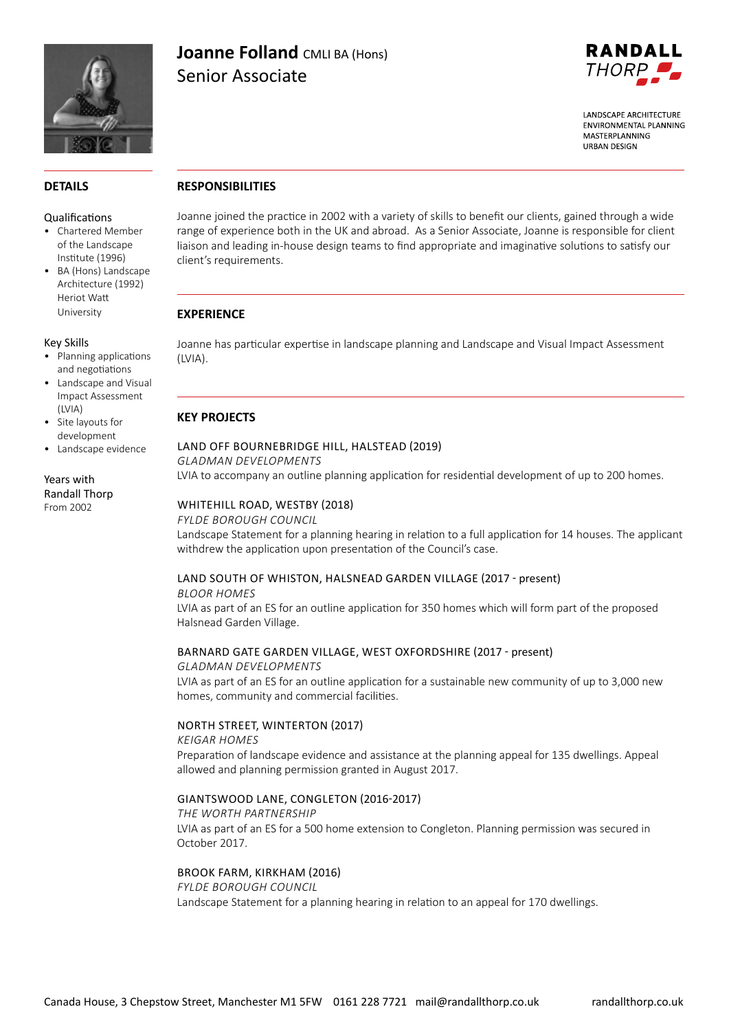

# **Joanne Folland CMLI BA (Hons)** Senior Associate



**LANDSCAPF ARCHITECTURE FNVIRONMENTAL PLANNING** MASTERPLANNING **URBAN DESIGN** 

# **DETAILS**

#### Qualifications

- Chartered Member of the Landscape Institute (1996)
- BA (Hons) Landscape Architecture (1992) Heriot Watt University

#### Key Skills

- Planning applications and negotiations
- Landscape and Visual Impact Assessment (LVIA)
- Site layouts for development
- Landscape evidence

## Years with Randall Thorp From 2002

# **RESPONSIBILITIES**

Joanne joined the practice in 2002 with a variety of skills to benefit our clients, gained through a wide range of experience both in the UK and abroad. As a Senior Associate, Joanne is responsible for client liaison and leading in-house design teams to find appropriate and imaginative solutions to satisfy our client's requirements.

# **EXPERIENCE**

Joanne has particular expertise in landscape planning and Landscape and Visual Impact Assessment (LVIA).

# **KEY PROJECTS**

# LAND OFF BOURNEBRIDGE HILL, HALSTEAD (2019)

*GLADMAN DEVELOPMENTS*

LVIA to accompany an outline planning application for residential development of up to 200 homes.

# WHITEHILL ROAD, WESTBY (2018)

### *FYLDE BOROUGH COUNCIL*

Landscape Statement for a planning hearing in relation to a full application for 14 houses. The applicant withdrew the application upon presentation of the Council's case.

# LAND SOUTH OF WHISTON, HALSNEAD GARDEN VILLAGE (2017 - present)

### *BLOOR HOMES* LVIA as part of an ES for an outline application for 350 homes which will form part of the proposed Halsnead Garden Village.

# BARNARD GATE GARDEN VILLAGE, WEST OXFORDSHIRE (2017 - present)

### *GLADMAN DEVELOPMENTS*  LVIA as part of an ES for an outline application for a sustainable new community of up to 3,000 new homes, community and commercial facilities.

# NORTH STREET, WINTERTON (2017)

*KEIGAR HOMES* Preparation of landscape evidence and assistance at the planning appeal for 135 dwellings. Appeal allowed and planning permission granted in August 2017.

# GIANTSWOOD LANE, CONGLETON (2016-2017)

*THE WORTH PARTNERSHIP* LVIA as part of an ES for a 500 home extension to Congleton. Planning permission was secured in October 2017.

# BROOK FARM, KIRKHAM (2016)

*FYLDE BOROUGH COUNCIL* Landscape Statement for a planning hearing in relation to an appeal for 170 dwellings.